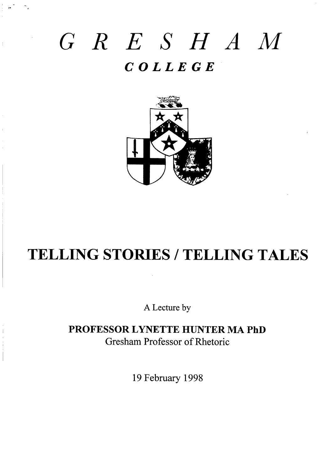# $G$   $R$   $E$   $S$   $H$   $A$   $M$  $COLLEGE$



### **TELLING STORIES / TELLING TALES**

A Lecture by

PROFESSOR LYNETTE HUNTER MA PhD Gresham Professor of Rhetoric

19 February 1998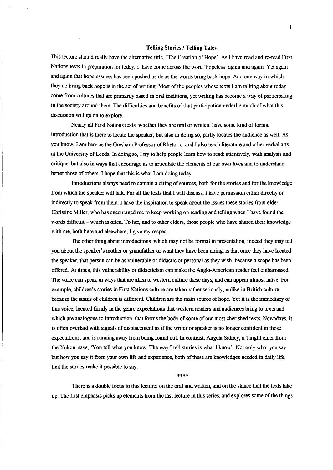#### **Telling Stories / Telling Tales**

This lecture should really have the alternative title, 'The Creation of Hope'. As I have read and re-read First Nations texts in preparation for today, I have come across the word 'hopeless' again and again. Yet again and again that hopelessness has been pushed aside as the words bring back hope. And one way in which they do bring back hope is in the act of writing. Most of the peoples whose texts I am talking about today come from cultures that are primarily based in oral traditions, yet writing has become a way of participating in the society around them. The difficulties and benefits of that participation underlie much of what this discussion will go on to explore.

Nearly all First Nations texts, whether they are oral or written, have some kind of formal introduction that is there to locate the speaker, but also in doing so, partly locates the audience as well. As you know, I am here as the Gresham Professor of Rhetoric, and I also teach literature and other verbal arts at the University of Leeds. In doing so, I try to help people learn how to read: attentively, with analysis and critique, but also in ways that encourage us to articulate the elements of our own lives and to understand better those of others. I hope that this is what I am doing today.

Introductions always need to contain a citing of sources, both for the stories and for the knowledge from which the speaker will talk. For all the texts that I will discuss, I have permission either directly or indirectly to speak from them. I have the inspiration to speak about the issues these stories from elder Christine Miller, who has encouraged me to keep working on reading and telling when I have found the words difficult – which is often. To her, and to other elders, those people who have shared their knowledge with me, both here and elsewhere, I give my respect.

The other thing about introductions, which may not be formal in presentation indeed they may tell you about the speaker's mother or grandfather or what they have been doing, is that once they have located the speaker, that person can be as vulnerable or didactic or personal as they wish, because a scope has been offered. At times, this vulnerability or didacticism can make the Anglo-American reader feel embarrassed. The voice can speak in ways that are alien to western culture these days, and can appear almost naïve. For example, children's stories in First Nations culture are taken rather seriously, unlike in British culture, because the status of children is different. Children are the main source of hope. Yet it is the immediacy of this voice, located firmly in the genre expectations that western readers and audiences bring to texts and which are analogous to introduction, that forms the body of some of our most cherished texts. Nowadays, it is often overlaid with signals of displacement as if the writer or speaker is no longer confident in those expectations, and is running away from being found out. In contrast, Angela Sidney, a Tinglit elder from the Yukon, says, 'You tell what you know. The way I tell stories is what I know'. Not only what you say but how you say it from your own life and experience, both of these are knowledges needed in daily life, that the stories make it possible to say.

\*\*\*\*

There is a double focus to this lecture: on the oral and written, and on the stance that the texts take up. The first emphasis picks up elements from the last lecture in this series, and explores some of the things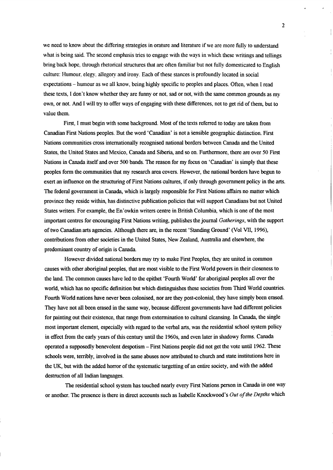we need to know about the differing strategies in orature and literature if we are more fully to understand what is being said. The second emphasis tries to engage with the ways in which these writings and tellings bring back hope, through rhetorical structures that are often familiar but not fully domesticated to English culture: Humour. elegy, allegory and irony. Each of these stances is profoundly located in social expectations – humour as we all know, being highly specific to peoples and places. Often, when I read these texts, I don't know whether they are firmy or not, sad or not, with the same common grounds as my own, or not. And I will try to offer ways of engaging with these differences, not to get rid of them, but to value them.

First, I must begin with some background. Most of the texts referred to today are taken from Canadian First Nations peoples. But the word 'Canadian' is not a sensible geographic distinction. First Nations communities cross internationally recognised national borders between Canada and the United States, the United States and Mexico, Canada and Siberia, and so on. Furthermore, there are over 50 First Nations in Canada itself and over 500 bands. The reason for my focus on 'Canadian' is simply that these peoples form the communities that my research area covers. However, the national borders have begun to exert an influence on the structuring of First Nations cultures, if only through government policy in the arts. The federal government in Canada, which is largely responsible for First Nations affairs no matter which province they reside within, has distinctive publication policies that will support Canadians but not United States writers. For example, the En'owkin writers centre in British Columbia, which is one of the most important centres for encouraging First Nations writing, publishes the journal *Gatherings, with the* support of two Canadian arts agencies. Although there are, in the recent 'Standing Ground' (Vol VII, 1996), contributions from other societies in the United States, New Zealand, Australia and elsewhere, the predominant country of origin is Canada.

However divided national borders may try to make First Peoples, they are united in common causes with other aboriginal peoples, that are most visible to the First World powers in their closeness to the land. The common causes have led to the epithet 'Fourth World' for aboriginal peoples all over the world, which has no specific definition but which distinguishes these societies from Third World countries. Fourth World nations have never been colonised, nor are they post-colonial, they have simply been erased. They have not all been erased in the same way, because different governments have had different policies for painting out their existence, that range from extermination to cultural cleansing. In Canada, the single most important element, especially with regard to the verbal arts, was the residential school system policy in effect from the early years of this century until the 1960s, and even later in shadowy forms. Canada operated a supposedly benevolent despotism – First Nations people did not get the vote until 1962. These schools were, terribly, involved in the same abuses now attributed to church and state institutions here in the UK, but with the added horror of the systematic targetting of an entire society, and with the added destruction of all Indian languages.

The residential school system has touched nearly every First Nations person in Canada in one way or another. The presence is there in direct accounts such as Isabelle Knockwood's Out of the Depths which

2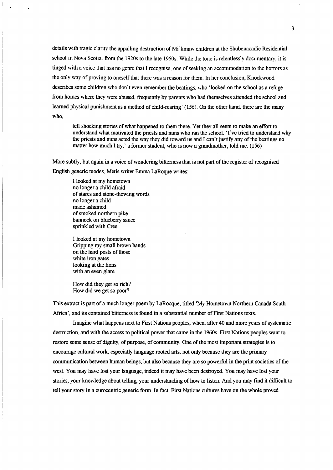details with tragic clarity the appalling destruction of Mi'kmaw children at the Shubenacadie Residential school in Nova Scotia, from the 1920s to the late 1960s. While the tone is relentlessly documentary, it is tinged with a voice that has no genre that I recognise, one of seeking an accommodation to the horrors as the only way of proving to oneself that there was a reason for them. In her conclusion, Knockwood describes some children who don't even remember the beatings, who 'looked on the school as a refuge from homes where they were abused, fiequendy by parents who had themselves attended the school and learned physical punishment as a method of child-rearing' (156). On the other hand, there are the many who,

tell shocking stories of what happened to them there. Yet they all seem to make an effort to understand what motivated the priests and nuns who ran the school. 'I've tried to understand why the priests and nuns acted the way they did toward us and I can't justify any of the beatings no matter how much I try,' a former student, who is now a grandmother, told me, (156)

More subfly, but again in a voice of wondering bitterness that is not part of the register of recognised Engtish generic modes, Metis writer Emma LaRoque writes:

I looked at my hometown no longer a child afraid of stares and stone-thowing words no longer a child made ashamed of smoked northern pike bannock on blueberry sauce sprinkled with Cree

,,

.

I looked at my hometown Gripping my small brown hands on the hard posts of those white iron gates looking at the lions with an even glare

How did they get so rich? How did we get so poor?

This extract is part of a much longer poem by LaRocque, titled 'My Hometown Northern Canada South Africa', and its contained bitterness is found in a substantial number of First Nations texts.

Imagine what happens next to First Nations peoples, when, after 40 and more years of systematic destruction, and with the access to political power that came in the 1960s, First Nations peoples want to restore some sense of dignity, of purpose, of community. One of the most important strategies is to encourage cultural work, especially language rooted arts, not only because they are the primary communication between human beings, but also because they are so powerful in the print societies of the west. You may have lost your language, indeed it may have been destroyed. You may have lost your stories, your knowledge about telling, your understanding of how to listen. And you may find it difficult to tell your story in a eurocentric generic form. In fact, First Nations cultures have on the whole proved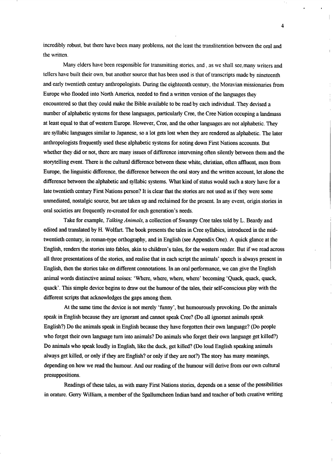incredibly robust, but there have been many problems. not the least the transliteration between the oral and the written.

Many elders have been responsible for transmitting stories. and. as we shall see.many writers and tellers have built their own, but another source that has been used is that of transcripts made by nineteenth and early twentieth century anthropologists. During the eighteenth century, the Moravian missionaries from Europe who flooded into North America, needed to find a written version of the languages they encountered so that they could make the Bible available to be read by each individual. They devised a number of alphabetic systems for these languages, particularly Cree, the Cree Nation occuping a landmass at least equal to that of western Europe. However, Cree, and the other languages are not alphabetic. They are syllabic languages similar to Japanese, so a lot gets lost when they are rendered as alphabetic. The later anthropologists frequently used these alphabetic systems for noting down First Nations accounts. But whether they did or not, there are many issues of difference intervening often silently between them and the storytelling event. There is the cultural difference between these white, christian, often affluent, men from Europe, the linguistic difference, the difference between the oral story and the written account, let alone the difference between the alphabetic and syllabic systems. What kind of status wodd such a story have for a late twentieth century First Nations person? It is clear that the stories are not used as if they were some unmediated, nostalgic source, but are taken up and reclaimed for the present. In any event, origin stories in oral societies are frequently re-created for each generation's needs.

Take for example, *Talking Animals*, a collection of Swampy Cree tales told by L. Beardy and edited and translated by H. Wolfart. The book presents the tales in Cree syllabics, introduced in the midtwentieth century, in roman-type orthography, and in English (see Appendix One). A quick glance at the English, renders the stories into fables, akin to children's tales, for the western reader. But if we read across all three presentations of the stories, and realise that in each script the animals' speech is always present in English, then the stories take on different connotations. In an oral performance, we can give the English animal words distinctive animal noises: 'Where, where, where, where' becoming 'Quack, quack, quack, quack'. This simple device begins to draw out the humour of the tales, their self-conscious play with the different scripts that acknowledges the gaps among them.

At the same time the device is not merely 'funny', but humourously provoking. Do the animals speak in English because they are ignorant and cannot speak Cree? (Do all ignorant animals speak English?) Do the animals speak in English because they have forgotten their own language? (Do people who forget their own language turn into animals? Do animals who forget their own language get killed?) Do animals who speak loudly in English, like the duck, get killed? (Do loud English speaking animals always get killed, or only if they are English? or only if they are not?) The story has many meanings, depending on how we read the humour. And our reading of the humour will derive from our own cultural presuppositions.

Readings of these tales, as with many First Nations stories, depends on a sense of the possibilities in orature. Gerry William, a member of the Spallumcheen Indian band and teacher of both creative writing

4

,,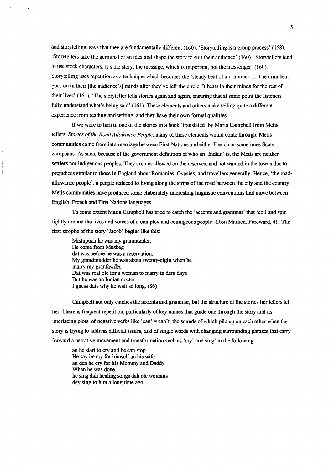and storytelling, says that they are fundamentally different  $(160)$ : 'Storytelling is a group process'  $(158)$ . 'Storytellers take the germinal of an idea and shape the story to suit their audience' (160). 'Storytellers tend to use stock characters. It's the story, the message, which is important, not the messenger' (160). Storytelling uses repetition as a technique which becomes the 'steady beat of a drummer ... The drumbeat goes on in their [the audience's] minds after they've left the circle. It beats in their minds for the rest of their lives' (161). 'The storyteller tells stories again and again, ensuring that at some point the listeners fully understand what's being said' (161). These elements and others make telling quite a different experience from reading and writing, and they have their own formal qualities.

If we were to turn to one of the stories in a book 'translated' by Maria Campbell from Metis tellers, *Stories of the Road Allowance People,* many of these elements wodd come through. Metis communities come from intermarriage between First Nations and either French or sometimes Scots europeans. As such, because of the government definition of who an 'Indian' is, the Metis are neither settlers nor indigenous peoples. They are not allowed on the reserves, and not wanted in the towns due to prejudices similar to those in England about Romanies, Gypsies, and travellers generally: Hence, 'the roaddlowance people', a people reduced to living along the strips of the road between the city and the country. Metis communities have produced some elaborately interesting linguistic conventions that move between Engtish, French and First Nations languages.

To some extent Maria Campbell has tried to catch the 'accents and grammar' that 'coil and spin lightly around the lives and voices of a complex and courageous people' (Ron Marken, Foreward, 4). The first strophe of the story 'Jacob' begins like this:

Mistupuch he was my granmudder. He come from Muskeg dat was before he was a reservation. My grandmudder he was about twenty-eight when he marry my granfawder. Dat was real ole for a woman to marry in dem days But he was an Indian doctor I guess dats why he wait so long. (86)

Campbell not only catches the accents and grammar, but the structure of the stories her tellers tell her. There is frequent repetition, particularly of key names that guide one through the story and its interfacing plots, of negative verbs like 'can' = can't, the sounds of which pile up on each other when the story is trying to address difficult issues, and of single words with changing surrounding phrases that carry forward a narrative movement and transformation such as 'cry' and sing' in the following:

an he start to cry and he can stop. He say he cry for himself an his wife an den he cry for his Mommy and Daddy. When he was done he sing dah healing songs dah ole womans dey sing to him a long time ago.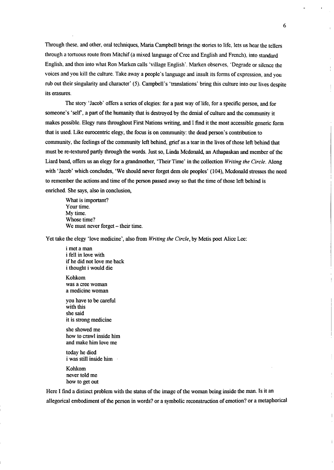Through these, and other, ord techniques, Maria Campbell brings the stories to life, lets us hear the tellers through a tortuous route from Mitchif (a mixed language of Cree and English and French), into standard English, and then into what Ron Marken calls 'village English'. Marken observes, 'Degrade or silence the voices and you kill the culture. Take away a people's language and insult its forms of expression, and you rub out their singularity and character' (5). Campbell's 'translations' bring this culture into our lives despite its erasures.

The story 'Jacob' offers a series of elegies: for a past way of life, for a specific person, and for someone's 'self', a part of the humanity that is destroyed by the denial of culture and the community it makes possible. Elegy runs throughout First Nations writing, and I find it the most accessible generic form that is used. Like eurocentric elegy, the focus is on community: the dead person's contribution to community, the feelings of the community left behind, grief as a tear in the lives of those left behind that must be re-textured partly through the words. Just so, Linda Mcdonald, an Athapaskan and member of the Liard band, offers us an elegy for a grandmother, 'Their Time' in the collection *Writing the Circle*. Along with 'Jacob' which concludes, 'We should never forget dem ole peoples' (104), Mcdonald stresses the need to remember the actions and time of the person passed away so that the time of those left behind is enriched. She says, also in conclusion,

What is important? Your time. My time. Whose time? We must never forget – their time.

Yet take the elegy 'love medicine', also from *Writing the Circle*, by Metis poet Alice Lee:

imeta man i fell in love with if he did not love me back i thought i wodd die

Kohkom was a cree woman a medicine woman

you have to be careful with this she said it is strong medicine

she showed me how to crawl inside him and make him love me

today he died i was still inside him

Kohkom never told me how to get out

Here I find a distinct problem with the status of the image of the woman being inside the man. Is it an allegorical embodiment of the person in words? or a symbolic reconstruction of emotion? or a metaphorical

6

 $\mathbf{I}$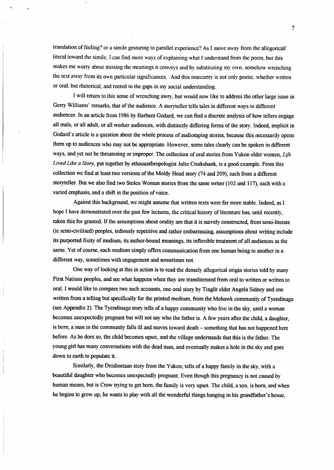translation of feeling? or a simile gesturing to parallel experience? As I move away from the allegorical/ literal toward the simile, I can find more ways of explaining what I understand from the poem, but this makes me worry about missing the meanings it conveys and by substituting my own. somehow wrenching the text away from its own particular significances. And this insecurity is not only poetic, whether written or oral, but rhetorical, and rooted in the gaps in my social understanding.

I will return to this sense of wrenching awry, but would now like to address the other large issue in Gerry Williams' remarks, that of the audience. A storyteller tells tales in different ways to different audiences. In an article from 1986 by Barbara Godard, we can find a discrete analysis of how tellers engage all male, or all adult, or all worker audiences, with distinctly differing forms of the story. Indeed, implicit in Godard's article is a question about the whole process of audiotaping stories, because this necessarily opens them up to audiences who may not be appropriate. However, some tales clearly can be spoken in different ways, and yet not be threatening or improper. The collection of oral stories from Yukon elder women, *Life Lived Like a Story*, put together by ethnoanthropologist Julie Cruikshank, is a good example. From this collection we find at least two versions of the Moldy Head story (74 and 209), each from a different storyteller. But we also find two Stolen Woman stories from the same writer (102 and 117), each with a varied emphasis, and a shift in the position of voice.

Against this background, we might assume that written texts were far more stable. Indeed, as I hope I have demonstrated over the past few lectures, the critical history of literature has, until recently, taken this for granted. If the assumptions about orality are that it is naively constructed, from semi-literate (ie semi-civilised) peoples, tediously repetitive and rather embarrassing, assumptions about writing include its purported fixity of medium, its author-bound meanings, its inflexible treatment of all audiences as the same. Yet of course, each medium simply offers communication from one human being to another in a different way, sometimes with engagement and sometimes not.

One way of looking at this in action is to read the densely allegorical origin stories told by many First Nations peoples, and see what happens when they are transliterated from oral to written or written to oral. I would like to compare two such accounts, one oral story by Tinglit elder Angela Sidney and one written from a telling but specifically for the printed medium, from the Mohawk community of Tyendinaga (see Appendix 2). The Tyendinaga story tells of a happy community who live in the sky, until a woman becomes unexpectedly pregnant but will not say who the father is. A few years after the child, a daughter, is born, a man in the community falls ill and moves toward death – something that has not happened here before. As he does so, the child becomes upset, and the village understands that this is the father. The young girl has many conversations with the dead man, and eventually makes a hole in the sky and goes down to earth to populate it.

Similarly, the Deisheetaan story from the Yukon, tells of a happy family in the sky, with a beautiful daughter who becomes unexpectedly pregnant. Even though this pregnancy is not caused by human means, but is Crow trying to get born, the family is very upset. The child, a son, is born, and when he begins to grow up, he wants to play with all the wonderful things hanging in his grandfather's house,

 $\overline{7}$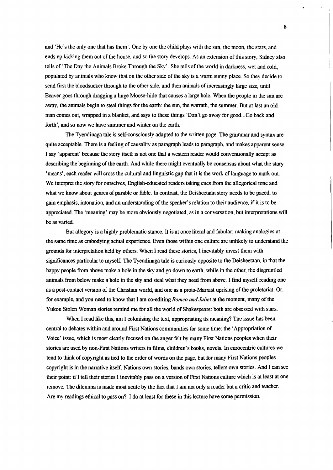and 'He's the only one that has them'. One by one the child plays with the sun, the moon, the stars, and ends up kicking them out of the house, and so the story develops. As an extension of this story, Sidney also tells of 'The Day the Animals Broke Through the Sky'. She tells of the world in darkness, wet and cold, populated by animals who know that on the other side of the sky is a warm sunny place. So they decide to send first the bloodsucker through to the other side, and then animals of increasingly large size, until Beaver goes through dragging a huge Moose-hide that causes a large hole. When the people in the sun are away, the animals begin to steal things for the earth: the sun, the warmth, the summer. But at last an old man comes out, wmpped in a blanket, and says to these things 'Don't go away for good.. .Go back and forth', and so now we have summer and winter on the earth.

The Tyendinaga tale is self-consciously adapted to the written page. The grammar and syntax are quite acceptable. There is a feeling of causality as paragraph leads to paragraph, and makes apparent sense. I say 'apparent' because the story itself is not one that a western reader would conventionally accept as describing the beginning of the earth. And while there might eventually be consensus about what the story 'means', each reader will cross the cultural and linguistic gap that it is the work of language to mark out. We interpret the story for ourselves, English-educated readers taking cues from the allegorical tone and what we know about genres of parable or fable. In contrast, the Deisheetaan story needs to be paced, to gain emphasis, intonation and an understantig of the speaker's relation to their audience, if it is to be appreciated. The 'meaning' may be more obviously negotiated, as in a conversation, but interpretations til be as varied.

But allegory is a highly problematic stance. It is at once literal and fabular; making analogies at the same time as embodying actual experience. Even those within one culture are unlikely to understand the grounds for interpretation held by others. When I read these stories, I inevitably invest them with significances particular to myself. The Tyendinaga tale is curiously opposite to the Deisheetaan, in that the happy people from above make a hole in the sky and go down to earth, while in the other, the disgruntled animals from below make a hole in the sky and steal what they need from above. I find myself reading one as a post-contact version of the Christian world, and one as a proto-Marxist uprising of the proletariat. Or, for example, and you need to know that I am co-editing *Romeo* and *Juliet* at the moment, many of the Yukon Stolen Woman stories remind me for all the world of Shakespeare: both are obsessed with stars.

When I read like this, am I colonising the text, appropriating its meaning? The issue has been central to debates within and around First Nations communities for some time: the 'Appropriation of Voice' issue, which is most clearly focused on the anger felt by many First Nations peoples when their stories are used by non-First Nations writers in films, children's books, novels. In eurocentric cultures we tend to think of copyright as tied to the order of words on the page, but for many First Nations peoples copyright is in the narrative itself. Nations own stories, bands own stories, tellers own stories. And I can see their point: if I tell their stories I inevitably pass on a version of First Nations culture which is at least at one remove. The dilemma is made most acute by the fact that I am not only a reader but a critic and teacher. Are my readings ethical to pass on? I do at least for these in this lecture have some permission.

*8*

,,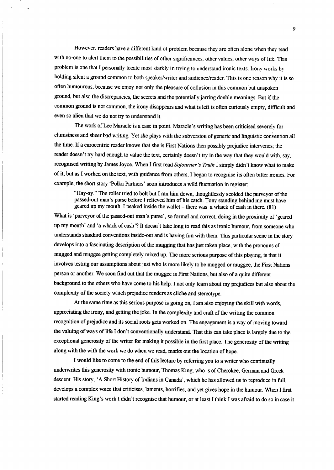However, readers have a different kind of problem because they are often alone when they read with no-one to alert them to the possibilities of other significances, other values, other ways of life. This problem is one that I personally locate most starkly in trying to understand ironic texts. Irony works by holding silent a ground common to both speaker/writer and audience/reader. This is one reason why it is so often humourous, because we enjoy not only the pleasure of collusion in this common but unspoken ground, but also the discrepancies, the secrets and the potentially jarring double meanings. But if the common ground is not common, the irony disappears and what is left is often curiously empty, difficult and even so ahen that we do not try to understand it.

.

The work of Lee Maracle is a case in point. Maracle's writing has been criticised severely for clumsiness and sheer bad writing. Yet she plays with the subversion of generic and linguistic convention all the time. If a eurocentric reader knows that she is First Nations then possibly prejudice intervenes; the reader doesn't try hard enough to value the text, certainly doesn't try in the way that they would with, say, recognised writing by James Joyce. When I first read Sojourner's Truth I simply didn't know what to make of it, but as I worked on the text, with guidance from others, I began to recognise its often bitter ironies. For example, the short story 'Polka Partners' soon introduces a wild fluctuation in register:

"Hay-ay." The roller tried to bolt but I ran him down, thoughtlessly scolded the purveyor of the passed-out man's purse before I relieved him of his catch. Tony standing behind me must have geared up my mouth. I peaked inside the wallet - there was a whack of cash in there. (81)

What is 'purveyor of the passed-out man's purse', so formal and correct, doing in the proximity of 'geared up my mouth' and 'a whack of cash'? It doesn't take long to read this as ironic humour, from someone who understands standard conventions inside-out and is having fun with them. This particular scene in the story develops into a fascinating description of the mugging that has just taken place, with the pronouns of mugged and muggee getting completely mixed up. The more serious purpose of this playing, is that it involves testing our assumptions about just who is more likely to be mugged or muggee, the First Nations person or another. We soon find out that the muggee is First Nations, but also of a quite different background to the others who have come to his help. I not only learn about my prejudices but also about the complexity of the society which prejudice renders as cliche and stereotype.

At the same time as this serious purpose is going on, I am also enjoying the skill with words, appreciating the irony, and getting the joke. In the complexity and craft of the writing the common recognition of prejudice and its social roots gets worked on. The engagement is a way of moving toward the valuing of ways of life I don't conventionally understand. That this can take place is largely due to the exceptional generosity of the writer for making it possible in the first place. The generosity of the writing along with the with the work we do when we read, marks out the location of hope.

I would like to come to the end of this lecture by referring you to a writer who continually underwrites this generosity with ironic humour, Thomas King, who is of Cherokee, German and Greek descent. His story, 'A Short History of Indians in Canada', which he has allowed us to reproduce in full, develops a complex voice that criticises, laments, horrifies, and yet gives hope in the humour. When I first started reading King's work I didn't recognise that humour, or at least I think I was afraid to do so in case it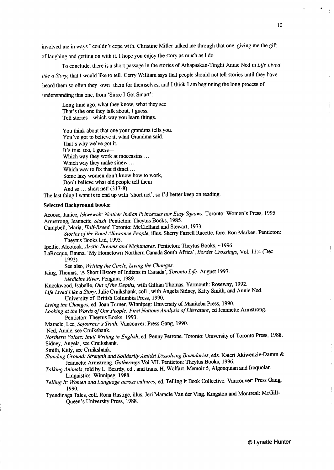involved me in ways I couldn't cope with. Christine Miller talked me through that one, giving me the gift of laughing and getting on with it. I hope you enjoy the story as much as I do.

To conclude, there is a short passage in the stories of Athapaskan-Tinglit Annie Ned in *Life Lived like a Story*, that I would like to tell. Gerry William says that people should not tell stories until they have heard them so often they 'own' them for themselves, and I think I am beginning the long process of understanding this one, from 'Since I Got Smart':

Long time ago, what they know, what they see That's the one they talk about, I guess. Tell stories – which way you learn things.

You think about that one your grandma tells you. You've got to believe it, what Grandma said. That's why we've got it. It's true, too, I guess-Which way they work at moccasins ... Which way they make sinew ... Which way to fix that fishnet ... Some lazy women don't know how to work, Don't believe what old people tell them And so ... short net! (317-8) The last thing I want is to end up with 'short net', so I'd better keep on reading.

#### Selected Background books:

Acoose, Janice, *Iskwewak: Neither Indian Princesses nor Easy Squaws.* Toronto: Women's Press, 1995. Armstrong, Jeannette, Slash. Penticton: Theytus Books, 1985. Campbell, Maria, *Half-Breed.* Toronto: McClelland and Stewart, 1973. *Stories of the Road Allowance People, illus. Sherry Farrell Racette, fore. Ron Marken. Penticton:* Theytus Books Ltd, 1995. Ipellie, Alootook. *Arctic Dreams and Nightmares*. Penticton: Theytus Books, ~1996. LaRocque, Emma, 'My Hometown Northern Canada South Africa', *Border Crossings*, Vol. 11:4 (Dec 1992). See also, *Writing the Circle, Living the Changes. King, Thomas,* 'A Short History of Indians in Canada', *Toronto Lfe.* August 1997. *Medicine River. Penguin, 1989.* Knockwood, Isabelle, Out of the Depths, with Gillian Thomas. Yarmouth: Roseway, 1992. Life Lived Like a Story, Julie Cruikshank, coll., with Angela Sidney, Kitty Smith, and Annie Ned. University of British Columbia Press, 1990. *Living the Changes,* ed. Joan Turner. Winnipeg: University of Manitoba Press, 1990. *Looking at the Words of Our People: First Nations Ana&sis of Literature, ed* Jeannette Armstrong. Penticton: Theytus Books, 1993. Maracle, Lee, Sojourner's Truth. Vancouver: Press Gang, 1990. Ned, Annie, see Cruikshank. *Northern Voices: Inuit Writing in English,* ed. Penny Petrone. Toronto: University of Toronto Press, 1988. Sidney, Angela, see Cruikshank. Smith, Kitty, see Cruikshank. *Standing Ground: Strength and Solidarity Amidst Dissolving Boundaries, eds. Kateri Akiwenzie-Damm &* Jemette Armstrong. *Gatherings* Vol WI. Penticton: Theytus Books, 1996. Talking Animals, told by L. Beardy, ed. and trans. H. Wolfart. Memoir 5, Algonquian and Iroquoian Linguistics. Winnipeg. 1988. *Telling It: Women and Language across cultures,* ed. Telling It Book Collective. Vancouver: Press Gang, 1990.

Tyendinaga Tales, coll. Rona Rustige, illus. Jeri Maracle Van der Vlag. Kingston and Montreal: McGill-Queen's University Press, 1988.

,,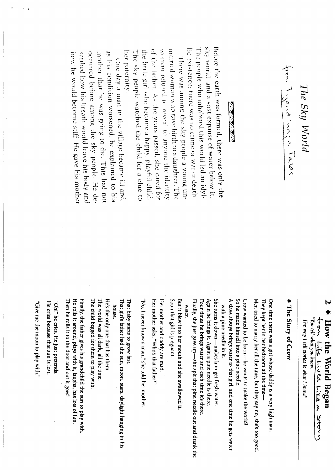from Tugontinue en Tales The Sky World

sky world, and a vast expanse of water below it. Before the earth was formed, there was only the The people who inhabited this world led an idyllic existence; there was no crime or war or death

married woman who gave birth to a daughter. The the little girl who became a happy, playful child of the father. As the years passed, she cared for woman retused to reveal to anyone the identity The sky people watched the child for a clue to her paternity. There was among the sky people a young un-

as his condition worsened, he explained to his mother that he was going to die. This had not jaw'he would become stiff. He gave his mother seribed how his breath would leave his body and occurred before among the sky people. He de-One day a man in the village became ill and,

> from Life Lived Like a Story How the World Began

The way I tell stories is what I know."

# \* The Story of Crow

"No, I never know a man," she told her mother Her mother asks, "Who's that father?" Her mother and daddy are mad. Soon that girl is pregnant. But it blew into her mouth and she swallowed it. Finally, she just gave up—she spit that pine needle out and drank the Four times he brings water and each time it's there Again he brings it. Again a pine needle is there. She turns it down-makes him get Iresh water A slave always brings water to that girl, and one time he gets water So he made himself into a pine needle. Crow wanted to be born-he wants to make the worldl Men tried to marry her all the time, but they say no, she's too good One time there was a girl whose daddy is a very high man. He's the only one that has them That girl's father had the sun, moon, stars, daylight hanging in his That baby starts to grow fast They kept her in her bedroom all the timewith a pine needle in it. house.

Then he rolls it to the door and out it goes! He rolls it around, plays with it, laughs, has lots of fun. Finally, the father gives his grandchild the sun to play with The child begged for them to play with

The world was all dark, all the time

He cries because that sun is lost "Oh!" he cries. He just pretends

"Give me the moon to play with."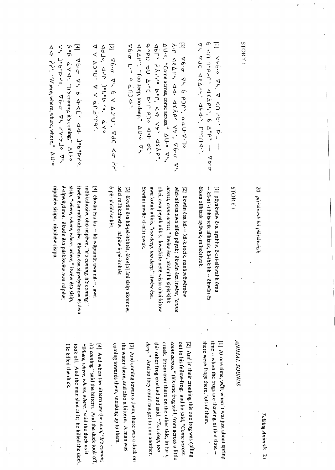| nipahêw               | ロケ 」"ヮ"マて。 ロのら ロケ てくふし。 ロケ                                                                                                                            |
|-----------------------|-------------------------------------------------------------------------------------------------------------------------------------------------------|
| sisip, "w<br>ê-sipwêy | ひ"ウ d.V <l'1's au.o<="" coming,="" coming,"="" it's="" th=""></l'1's>                                                                                 |
| itwêw ês              | [4] Ap.o. Ad. p. A.N., Ad. J.F.P.                                                                                                                     |
| môhkah                |                                                                                                                                                       |
| $[4]$ ekw:            |                                                                                                                                                       |
|                       | Adje, AJ, Jiery AJ, ON                                                                                                                                |
| ê-pê-nâc              | [3] $\nabla \cdot \mathbf{b} \cdot \mathbf{c}$ or $\mathbf{c} \times \mathbf{b}$ or $\mathbf{c} \times \mathbf{d}$ and $\mathbf{d} \times \mathbf{d}$ |
| asici mô              |                                                                                                                                                       |
| [3] ekwa              | Vor L-- p d DJS-                                                                                                                                      |
| êkwâni                | <1 \\times co deep, too deep." AU-o V-.                                                                                                               |
| awa kot:              | ace no ping is pood to an ac-                                                                                                                         |
| ohci, aw              | ムp.L x いぐてん ワニン ムム・ヘッ、 ムKでっ.                                                                                                                          |
| across, c             | $\Delta U$ · o, "Come across, come across," $\Delta U$ · $\nabla \nabla$ ,                                                                            |
| wici-alik             | P.S asbor A4 Asbor St., Abia Ar                                                                                                                       |
| $[2]$ êkw             | [2] $\nabla b \cdot \sigma$ $\nabla \vdash b \cdot \rho$ of, add $\nabla \vdash \nabla \cdot \mathbf{1} \circ$                                        |
| êkota al              | タイ タムへ ムベダマディ ムゲム・パ コミコロム・パ                                                                                                                           |
| $-$ kâ-ati            | b d"PJC" asser, b d"P" -<br>$\frac{1}{2}$                                                                                                             |
| [1] pêy:              | II < v c v x d d y x d d y x = 1                                                                                                                      |
| STORY                 |                                                                                                                                                       |
|                       | STORY I                                                                                                                                               |
| 20 pixis              |                                                                                                                                                       |
|                       |                                                                                                                                                       |

kiwak ka-pîkiskwêcik

ikisak ayâwak, miheêtiwak. -tihkisocik alîkisak, kâ-ihkihk -- êkwân ês ikwâw êsa, ayahiw, ê-ati-sikwahk ôma

ak alikis, "too deep, too deep," itwêw êsa. ra pêyak alikis. kwêskitê nêtê wista ohci-kitow mwâc ki-nâtitowak. come across," itwêw êsa, akâmihk sipîsisihk ân êsa kâ-- kâ-kitocik, nanâtwêwêmêw isa awa alikis pêyak; êkwân esa itwêw, "come

ân êsa kâ-pê-itohtêt, êkot[a] âni sîsîp akomow, :iñôscikêt. hkahosiw. napêw ê-pê-itohtêt

/âmot. ekwân esa pâskiswêw awa nâpêw; osiw, ôhô nápêwa, "it's coming, it's coming," here, where, where, where," itwèw êsa sisip, :a mólikaliosiw. ékwân êsa sipwêyâmow ês âwa ân êsa ka≁ kâ-wâpamât awa nâ-∽, awa sîsîpa. nipahêw sîsîpa.

# Talking Animals 21

# **ANIMAL SOUNDS**

there were frogs there, lots of them. [1] At ore time, well, when it was just about spring time -- when the frogs are thawing, at that time --

creek. From over there on the other side, in turn, come across," this one frog said, from across a little out to his fellow-frog; and he said, "Come across, deep." And so they could not get to one another. [2] And in their croaking this one frog was calling this other frog croaked and said, "Too deep, too

coming towards them, sneaking up to them. the water there, and also a bittern. A man was [3] And coming towards them, there was a duck on

took off. And the man shot at it; he killed the duck. "IVhere, where, where, where," said the duck as it it's coming," said the bittern. And the duck took off. [4] And when the bittern saw the man, "It's coming. He killed the duck.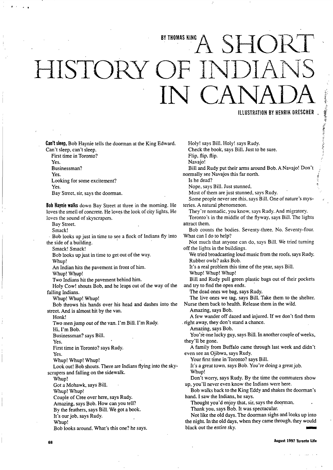## BY THOMAS KING A SHOR HISTORY OF INDIAI IN CANADA, **ILLUSTRATION BY HENRIK DRESCHER**

.-

..-

.:

>

Can't sleep, Bob Haynie tells the doorman at the King Edward. Can't sleep, can't sleep.

First time in Toronto?

Yes.

 $\cdots$ 

Businessman?

Yes.

Looking for some excitement?

Yes.

Bay Street, sir, says the doorman.

**Bob Haynie walks** down Bay Street at three in the morning. He loves the smell of concrete. He loves the look of city lights. He loves the sound of skyscrapers.

Bay Street.

Smack!

Bob looks up just in time to see a flock of Indians fly into the side of a building.

Smack! Smack!

Bob looks up just in time to get out of the way. Whup!

An Indian hits the pavement in front of him.

Whup! Whup!

Two Indians hit the pavement behind him.

Holy Cow! shouts Bob, and he leaps out of the way of the falling Indians.

Whup! Whup! Whup!

Bob throws his hands over his head and dashes into the street. And is almost hit by the van.

Honk!

Two men jump out of the van. I'm Bill. I'm Rudy. Hi, I'm Bob.

Businessman? says Bill.

Yes.

First time in Toronto? says Rudy.

Yes.

 $Whup! Whup! Whup!$ 

Look out! Bob shouts. There are Indians flying into the skyscrapers and falling on the sidewalk.

Whup!

Got a Mohawk, says Bill.

Whup! Whup!

Couple of Cree over here, says Rudy.

Amazing, says Bob. How can you tell?

By the feathers, says Bill. We got a book.

It's our job, says Rudy.

Whup!

Bob looks around. What's this one? he says.

Holy! says Bill. Holy! says Rudy. ,

Check the book, says Bill. Just to be sure.

Flip, flip, flip. Navajo!

Bill and Rudy put their arms around Bob. A Navajo! Don't normally see Navajos this far north.

Is he dead?

Nope, says Bill. Just stunned.

Most of them are just stunned, says Rudy.

Some people never see this, says Bill. One of nature's mysteries. A natural phenomenon.

They're nomadic, you know, says Rudy. And migratory.

Toronto's in the middle of the flyway, says Bill. The lights attract them.

Bob counts the bodies. Seventy-three. No. Seventy-four. What can I do to help?

Not much that anyone can do, says Bill. We tried turning off the lights in the buildings.

We tried broadcasting loud music from the roofs, says Rudy. Rubber owls? asks Bob.

It's a real problem this time of the year, says Bill.

Whup! Whup! Whup!

Bill and Rudy pull green plastic bags out of their pockets and try to find the open ends. '

The dead ones we bag, says Rudy.

The live ones we tag, says Bill. Take them to the shelter. Nurse them back to health. Release them in the wild.

Amazing, says Bob.

A few wander off dazed and injured. If we don't find them ,right away, they don't stand a chance.

Amazing, says Bob.

You're one lucky guy, says Bill. In another couple of weeks, they'll be gone.

A family from Buffalo came through last week and didn't even see an Ojibwa, says Rudy.

Your first time in Toronto? says Bill.

It's a great town, says Bob. You're doing a great job. Whup!

Don't worry, says Rudy. By the time the commuters show up, you'll never even know the Indians were here.

Bob walks back to the King Eddy and shakes the doorman's hand. I saw the Indians, he says.

Thought you'd enjoy that, sir, says the doorman.

Thank you. says Bob. It was spectacular.

Not like the old days. The doorman sighs and looks up into the night. In the old days, when they came through. they would black out the entire sky.

.. . .